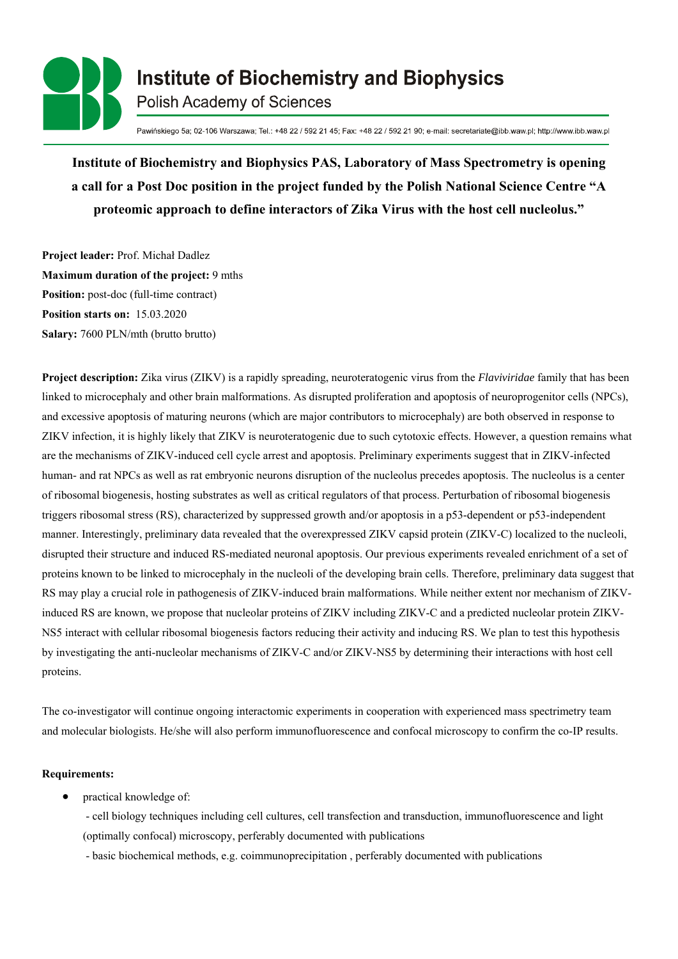

Pawińskiego 5a; 02-106 Warszawa; Tel.: +48 22 / 592 21 45; Fax: +48 22 / 592 21 90; e-mail: secretariate@ibb.waw.pl; http://www.ibb.waw.pl

**Institute of Biochemistry and Biophysics PAS, Laboratory of Mass Spectrometry is opening a call for a Post Doc position in the project funded by the Polish National Science Centre "A proteomic approach to define interactors of Zika Virus with the host cell nucleolus."**

**Project leader:** Prof. Michał Dadlez **Maximum duration of the project:** 9 mths **Position:** post-doc (full-time contract) **Position starts on:** 15.03.2020 **Salary:** 7600 PLN/mth (brutto brutto)

**Project description:** Zika virus (ZIKV) is a rapidly spreading, neuroteratogenic virus from the *Flaviviridae* family that has been linked to microcephaly and other brain malformations. As disrupted proliferation and apoptosis of neuroprogenitor cells (NPCs), and excessive apoptosis of maturing neurons (which are major contributors to microcephaly) are both observed in response to ZIKV infection, it is highly likely that ZIKV is neuroteratogenic due to such cytotoxic effects. However, a question remains what are the mechanisms of ZIKV-induced cell cycle arrest and apoptosis. Preliminary experiments suggest that in ZIKV-infected human- and rat NPCs as well as rat embryonic neurons disruption of the nucleolus precedes apoptosis. The nucleolus is a center of ribosomal biogenesis, hosting substrates as well as critical regulators of that process. Perturbation of ribosomal biogenesis triggers ribosomal stress (RS), characterized by suppressed growth and/or apoptosis in a p53-dependent or p53-independent manner. Interestingly, preliminary data revealed that the overexpressed ZIKV capsid protein (ZIKV-C) localized to the nucleoli, disrupted their structure and induced RS-mediated neuronal apoptosis. Our previous experiments revealed enrichment of a set of proteins known to be linked to microcephaly in the nucleoli of the developing brain cells. Therefore, preliminary data suggest that RS may play a crucial role in pathogenesis of ZIKV-induced brain malformations. While neither extent nor mechanism of ZIKVinduced RS are known, we propose that nucleolar proteins of ZIKV including ZIKV-C and a predicted nucleolar protein ZIKV-NS5 interact with cellular ribosomal biogenesis factors reducing their activity and inducing RS. We plan to test this hypothesis by investigating the anti-nucleolar mechanisms of ZIKV-C and/or ZIKV-NS5 by determining their interactions with host cell proteins.

The co-investigator will continue ongoing interactomic experiments in cooperation with experienced mass spectrimetry team and molecular biologists. He/she will also perform immunofluorescence and confocal microscopy to confirm the co-IP results.

## **Requirements:**

practical knowledge of:

- cell biology techniques including cell cultures, cell transfection and transduction, immunofluorescence and light

(optimally confocal) microscopy, perferably documented with publications

- basic biochemical methods, e.g. coimmunoprecipitation , perferably documented with publications